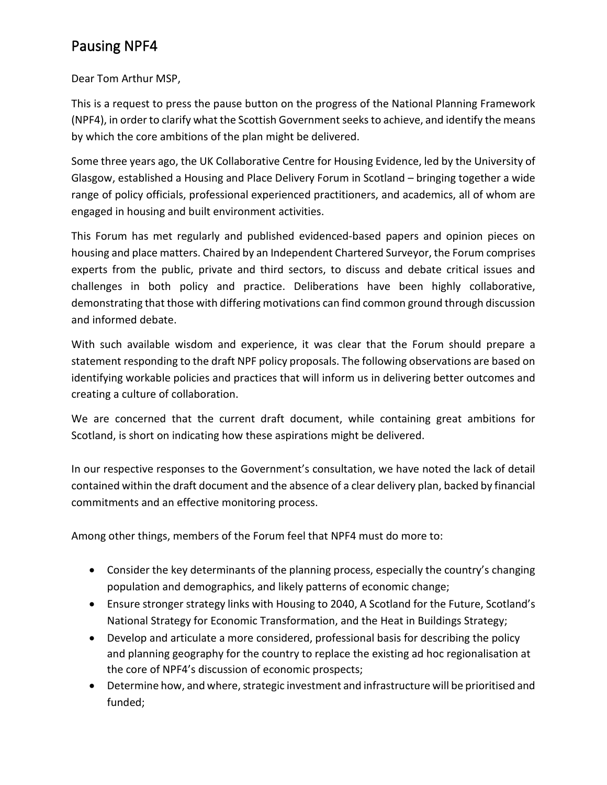## Pausing NPF4

Dear Tom Arthur MSP,

This is a request to press the pause button on the progress of the National Planning Framework (NPF4), in order to clarify what the Scottish Government seeks to achieve, and identify the means by which the core ambitions of the plan might be delivered.

Some three years ago, the UK Collaborative Centre for Housing Evidence, led by the University of Glasgow, established a Housing and Place Delivery Forum in Scotland – bringing together a wide range of policy officials, professional experienced practitioners, and academics, all of whom are engaged in housing and built environment activities.

This Forum has met regularly and published evidenced-based papers and opinion pieces on housing and place matters. Chaired by an Independent Chartered Surveyor, the Forum comprises experts from the public, private and third sectors, to discuss and debate critical issues and challenges in both policy and practice. Deliberations have been highly collaborative, demonstrating that those with differing motivations can find common ground through discussion and informed debate.

With such available wisdom and experience, it was clear that the Forum should prepare a statement responding to the draft NPF policy proposals. The following observations are based on identifying workable policies and practices that will inform us in delivering better outcomes and creating a culture of collaboration.

We are concerned that the current draft document, while containing great ambitions for Scotland, is short on indicating how these aspirations might be delivered.

In our respective responses to the Government's consultation, we have noted the lack of detail contained within the draft document and the absence of a clear delivery plan, backed by financial commitments and an effective monitoring process.

Among other things, members of the Forum feel that NPF4 must do more to:

- Consider the key determinants of the planning process, especially the country's changing population and demographics, and likely patterns of economic change;
- Ensure stronger strategy links with Housing to 2040, A Scotland for the Future, Scotland's National Strategy for Economic Transformation, and the Heat in Buildings Strategy;
- Develop and articulate a more considered, professional basis for describing the policy and planning geography for the country to replace the existing ad hoc regionalisation at the core of NPF4's discussion of economic prospects;
- Determine how, and where, strategic investment and infrastructure will be prioritised and funded;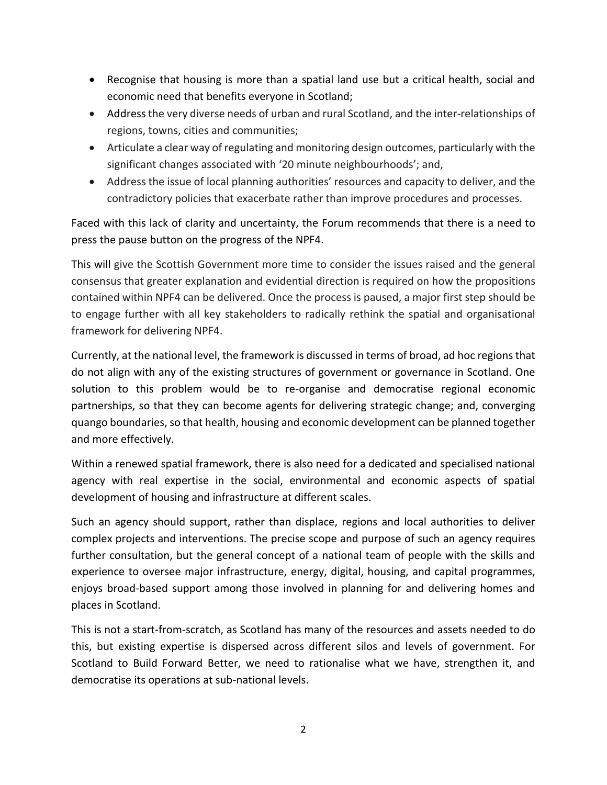- Recognise that housing is more than a spatial land use but a critical health, social and economic need that benefits everyone in Scotland;
- Address the very diverse needs of urban and rural Scotland, and the inter-relationships of regions, towns, cities and communities;
- Articulate a clear way of regulating and monitoring design outcomes, particularly with the significant changes associated with '20 minute neighbourhoods'; and,
- Address the issue of local planning authorities' resources and capacity to deliver, and the contradictory policies that exacerbate rather than improve procedures and processes.

Faced with this lack of clarity and uncertainty, the Forum recommends that there is a need to press the pause button on the progress of the NPF4.

This will give the Scottish Government more time to consider the issues raised and the general consensus that greater explanation and evidential direction is required on how the propositions contained within NPF4 can be delivered. Once the process is paused, a major first step should be to engage further with all key stakeholders to radically rethink the spatial and organisational framework for delivering NPF4.

Currently, at the national level, the framework is discussed in terms of broad, ad hoc regions that do not align with any of the existing structures of government or governance in Scotland. One solution to this problem would be to re-organise and democratise regional economic partnerships, so that they can become agents for delivering strategic change; and, converging quango boundaries, so that health, housing and economic development can be planned together and more effectively.

Within a renewed spatial framework, there is also need for a dedicated and specialised national agency with real expertise in the social, environmental and economic aspects of spatial development of housing and infrastructure at different scales.

Such an agency should support, rather than displace, regions and local authorities to deliver complex projects and interventions. The precise scope and purpose of such an agency requires further consultation, but the general concept of a national team of people with the skills and experience to oversee major infrastructure, energy, digital, housing, and capital programmes, enjoys broad-based support among those involved in planning for and delivering homes and places in Scotland.

This is not a start-from-scratch, as Scotland has many of the resources and assets needed to do this, but existing expertise is dispersed across different silos and levels of government. For Scotland to Build Forward Better, we need to rationalise what we have, strengthen it, and democratise its operations at sub-national levels.